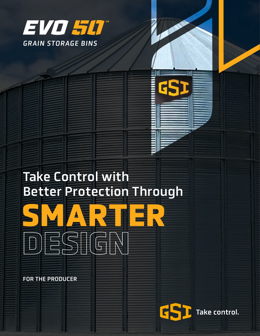

# Take Control with Better Protection Through

**SMARTER**

FOR THE PRODUCER

**DESIGN**

G Take control.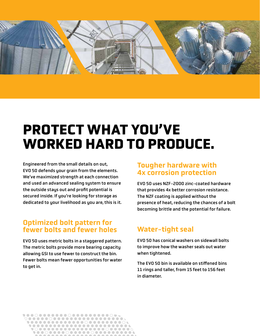

# **PROTECT WHAT YOU'VE WORKED HARD TO PRODUCE.**

Engineered from the small details on out, EVO 50 defends your grain from the elements. We've maximized strength at each connection and used an advanced sealing system to ensure the outside stays out and profit potential is secured inside. If you're looking for storage as dedicated to your livelihood as you are, this is it.

### Optimized bolt pattern for fewer bolts and fewer holes

EVO 50 uses metric bolts in a staggered pattern. The metric bolts provide more bearing capacity allowing GSI to use fewer to construct the bin. Fewer bolts mean fewer opportunities for water to get in.

#### Tougher hardware with 4x corrosion protection

EVO 50 uses NZF-2000 zinc-coated hardware that provides 4x better corrosion resistance. The NZF coating is applied without the presence of heat, reducing the chances of a bolt becoming brittle and the potential for failure.

### Water-tight seal

EVO 50 has conical washers on sidewall bolts to improve how the washer seals out water when tightened.

The EVO 50 bin is available on stiffened bins 11 rings and taller, from 15 feet to 156 feet in diameter.

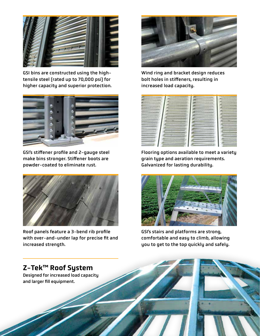

GSI bins are constructed using the hightensile steel (rated up to 70,000 psi) for higher capacity and superior protection.



GSI's stiffener profile and 2-gauge steel make bins stronger. Stiffener boots are powder-coated to eliminate rust.



Roof panels feature a 3-bend rib profile with over-and-under lap for precise fit and increased strength.



Wind ring and bracket design reduces bolt holes in stiffeners, resulting in increased load capacity.



Flooring options available to meet a variety grain type and aeration requirements. Galvanized for lasting durability.



GSI's stairs and platforms are strong, comfortable and easy to climb, allowing you to get to the top quickly and safely.

## Z-Tek™ Roof System

Designed for increased load capacity and larger fill equipment.